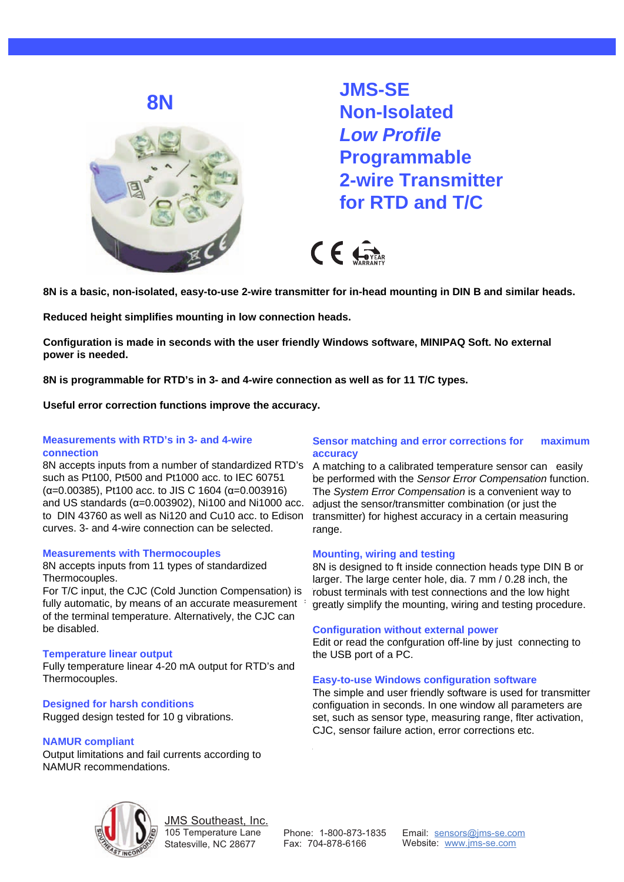**8N**



**JMS-SE Non-Isolated Low Profile Programmable 2-wire Transmitter for RTD and T/C**

 $CF$ 

**IPAQ-HLP is a basic, non-isolated, easy-to-use 2-wire transmitter for in-head mounting in DIN B and 8N is a basic, non-isolated, easy-to-use 2-wire transmitter for in-head mounting in DIN B and similar heads.** 

**Reduced height simplifies mounting in low connection heads.** 

**Reduced hight simplifies mounting in low connection heads. Configuration is made in seconds with the user friendly Windows software, MINIPAQ Soft. No external Configuration is made in seconds with the user friendly Windows software, MINIPAQ Soft. No external power is needed. power is needed.**

8N is programmable for RTD's in 3- and 4-wire connection as well as for 11 T/C types.

**Useful error correction functions improve the accuracy. Useful error correction functions improve the accuracy.**

## **Measurements with RTD's in 3- and 4-wire Measurements with RTD's in 3- and 4-wire connection connection**

8N accepts inputs from a number of standardized RTD's such as Pt100, Pt500 and Pt1000 acc. to IEC 60751  $(\alpha=0.00385)$ , Pt100 acc. to JIS C 1604  $(\alpha=0.003916)$  $\frac{1}{2}$ standards (α=0.003902), Ni100 and Ni1000 acc to DIN 43760 as well as Ni120 and Cu10 acc. to Edison 3- and 4-wire connection can be selected. curves. 3- and 4-wire connection can be selected. and US standards  $(\alpha=0.003902)$ , Ni100 and Ni1000 acc.

## **Measurements with Thermocouples Measurements with Thermocouples**

8N accepts inputs from 11 types of standardized Thermocouples. Thermocouples.

For T/C input, the CJC (Cold Junction Compensation) is For T/C input, the CJC (Cold Junction Compensation) is fully automatic, by means of an accurate measurement  $\pm$ of the terminal temperature. Alternatively, the CJC can be disabled. be disabled.

## **Temperature linear output Temperature linear output**

Fully temperature linear 4-20 mA output for RTD's and Fully temperature linear 4-20 mA output for RTD's and Thermocouples. Thermocouples.

# **Designed for harsh conditions Designed for harsh conditions**

Rugged design tested for 10 g vibrations. Rugged design tested for 10 g vibrations.

## **NAMUR compliant Internal currents according to 20 km**

Output limitations and fail currents according to NAMUR recommendations.

#### **Sensor matching and error corrections for Sensor matching and error corrections for maximum**  accuracy and **maximum accuracy**

A matching to a calibrated temperature sensor can A matching to a calibrated temperature sensor can easily be performed with the Sensor Error Compensation function. The System Error Compensation is a convenient way to adjust the sensor/transmitter combination (or just the transmitter) for highest accuracy in a certain measuring from highest accuracy in a certain measuring range. range.

#### **Mounting, wiring and testing Mounting, wiring and testing**

8N is designed to ft inside connection heads type DIN B or larger. The large center hole, dia. 7 mm / 0.28 inch, the robust terminals with test connections and the low hight greatly simplify the mounting, wiring and testing procedure.

#### **Configuration without external power**

**Configuration without external power** Edit or read the confguration off-line by just connecting to  $\sum_{i=1}^{\infty}$  the LISB port of a PC port of a PC. the USB port of a PC.

## **Easy-to-use Windows configuration software**

**software** configuation in seconds. In one window all parameters are softlige and in occorries in one inherent all parameters are<br>set, such as sensor type, measuring range, flter activation, for the transmitter configuration in second seconds. In the contract of the contract of the contract of the contract of the contract of the contract of the contract of the contract of the contract of the contract of the co CJC, sensor failure action, error corrections etc. The simple and user friendly software is used for transmitter



JMS Southeast, Inc. 105 Temperature Lane Statesville, NC 28677

Phone: 1-800-873-1835 Fax: 704-878-6166

Email: sensors@jms-se.com Website: www.jms-se.com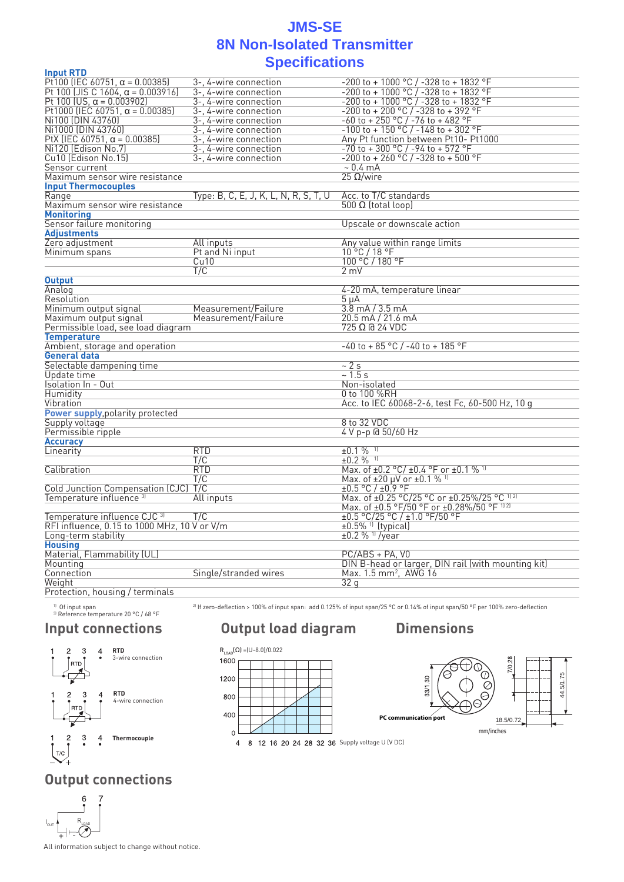## **Specifications Specifications JMS-SE 8N Non-Isolated Transmitter**

| <b>Input RTD</b>                             |                                       |                                                     |
|----------------------------------------------|---------------------------------------|-----------------------------------------------------|
| Pt100 (IEC 60751, $\alpha$ = 0.00385)        | 3-, 4-wire connection                 | -200 to + 1000 °C / -328 to + 1832 °F               |
| Pt 100 (JIS C 1604, $\alpha$ = 0.003916)     | 3-, 4-wire connection                 | $-200$ to + 1000 °C $/$ -328 to + 1832 °F           |
| Pt 100 (US, $\alpha$ = 0.003902)             | 3-, 4-wire connection                 | $-200$ to + 1000 °C $/ -328$ to + 1832 °F           |
| Pt1000 (IEC 60751, $\alpha$ = 0.00385)       | 3-, 4-wire connection                 | -200 to + 200 °C / -328 to + 392 °F                 |
| Ni100 (DIN 43760)                            | 3-, 4-wire connection                 | $-60$ to + 250 °C / -76 to + 482 °F                 |
| Ni1000 (DIN 43760)                           | 3-, 4-wire connection                 | $-100$ to + 150 °C / $-148$ to + 302 °F             |
| PtX (IEC 60751, $\alpha$ = 0.00385)          | 3-, 4-wire connection                 | Any Pt function between Pt10- Pt1000                |
| Ni120 (Edison No.7)                          | 3-. 4-wire connection                 | $-70$ to $+300$ °C $/$ -94 to $+572$ °F             |
| Cu10 (Edison No.15)                          | 3-. 4-wire connection                 | $-200$ to + 260 °C / -328 to + 500 °F               |
| Sensor current                               |                                       | $\sim 0.4 \text{ mA}$                               |
| Maximum sensor wire resistance               |                                       | 25 Ω/wire                                           |
| <b>Input Thermocouples</b>                   |                                       |                                                     |
| Range                                        | Type: B, C, E, J, K, L, N, R, S, T, U | Acc. to T/C standards                               |
| Maximum sensor wire resistance               |                                       | 500 Ω (total loop)                                  |
| <b>Monitoring</b>                            |                                       |                                                     |
| Sensor failure monitoring                    |                                       | Upscale or downscale action                         |
| Adjustments                                  |                                       |                                                     |
| Zero adjustment                              | All inputs                            | Any value within range limits                       |
| Minimum spans                                | Pt and Ni input                       | 10°C/18°F                                           |
|                                              | Cu10                                  | 100 °C / 180 °F                                     |
|                                              | T/C                                   | $2 \text{ mV}$                                      |
| <b>Output</b>                                |                                       |                                                     |
| Analog                                       |                                       | 4-20 mA, temperature linear                         |
| Resolution                                   |                                       | 5 μA                                                |
| Minimum output signal                        | Measurement/Failure                   | 3.8 mA / 3.5 mA                                     |
| Maximum output signal                        | Measurement/Failure                   | 20.5 mA / 21.6 mA                                   |
| Permissible load, see load diagram           |                                       | 725 Ω @ 24 VDC                                      |
| <b>Temperature</b>                           |                                       |                                                     |
| Ambient, storage and operation               |                                       | -40 to + 85 °C / -40 to + 185 °F                    |
| General data                                 |                                       |                                                     |
| Selectable dampening time                    |                                       | ~2s                                                 |
| Update time                                  |                                       | ~1.5 s                                              |
| Isolation In - Out                           |                                       | Non-isolated                                        |
| Humidity                                     |                                       | 0 to 100 %RH                                        |
| Vibration                                    |                                       | Acc. to IEC 60068-2-6, test Fc, 60-500 Hz, 10 g     |
| Power supply, polarity protected             |                                       |                                                     |
| Supply voltage                               |                                       | 8 to 32 VDC                                         |
| Permissible ripple                           |                                       | 4 V p-p @ 50/60 Hz                                  |
| <b>Accuracy</b>                              |                                       |                                                     |
| Linearity                                    | <b>RTD</b>                            | $±0.1\%$ <sup>11</sup>                              |
|                                              | T/C                                   | $\pm 0.2 \%$ <sup>11</sup>                          |
| Calibration                                  | <b>RTD</b>                            | Max. of ±0.2 °C/ ±0.4 °F or ±0.1 % 11               |
|                                              | T/C                                   | Max. of $\pm 20 \mu V$ or $\pm 0.1$ % <sup>11</sup> |
| Cold Junction Compensation (CJC)             | T/C                                   | ±0.5 °C / ±0.9 °F                                   |
| Temperature influence <sup>3)</sup>          | All inputs                            | Max. of ±0.25 °C/25 °C or ±0.25%/25 °C 1121         |
|                                              |                                       | Max. of ±0.5 °F/50 °F or ±0.28%/50 °F 1121          |
| Temperature influence CJC <sup>31</sup>      | T/C                                   | ±0.5 °C/25 °C / ±1.0 °F/50 °F                       |
| RFI influence, 0.15 to 1000 MHz, 10 V or V/m |                                       | $±0.5\%$ <sup>1)</sup> (typical)                    |
| Long-term stability                          |                                       | $±0.2 %$ <sup>11</sup> /year                        |
| <b>Housing</b>                               |                                       |                                                     |
| Material, Flammability (UL)                  |                                       | PC/ABS + PA, V0                                     |
| Mounting                                     |                                       | DIN B-head or larger, DIN rail (with mounting kit)  |
| Connection                                   | Single/stranded wires                 | Max. 1.5 mm <sup>2</sup> , AWG 16                   |
| Weight                                       |                                       | 32 q                                                |
| Protection, housing / terminals              |                                       |                                                     |

 $^{11}$  Of input span<br> $^{31}$  Reference temperature 20 °C / 68 °F

<sup>2)</sup> If zero-deflection > 100% of input span: add 0.125% of input span/25 °C or 0.14% of input span/50 °F per 100% zero-deflection

## **Input connections**



# **Output load diagram Dimensions**





# **Output connections**



All information subject to change without notice.